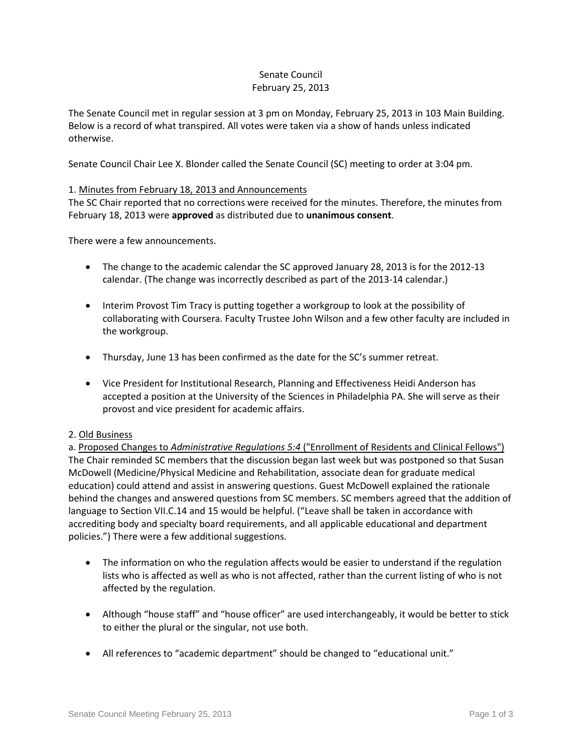# Senate Council February 25, 2013

The Senate Council met in regular session at 3 pm on Monday, February 25, 2013 in 103 Main Building. Below is a record of what transpired. All votes were taken via a show of hands unless indicated otherwise.

Senate Council Chair Lee X. Blonder called the Senate Council (SC) meeting to order at 3:04 pm.

# 1. Minutes from February 18, 2013 and Announcements

The SC Chair reported that no corrections were received for the minutes. Therefore, the minutes from February 18, 2013 were **approved** as distributed due to **unanimous consent**.

There were a few announcements.

- The change to the academic calendar the SC approved January 28, 2013 is for the 2012-13 calendar. (The change was incorrectly described as part of the 2013-14 calendar.)
- Interim Provost Tim Tracy is putting together a workgroup to look at the possibility of collaborating with Coursera. Faculty Trustee John Wilson and a few other faculty are included in the workgroup.
- Thursday, June 13 has been confirmed as the date for the SC's summer retreat.
- Vice President for Institutional Research, Planning and Effectiveness Heidi Anderson has accepted a position at the University of the Sciences in Philadelphia PA. She will serve as their provost and vice president for academic affairs.

# 2. Old Business

a. Proposed Changes to *Administrative Regulations 5:4* ("Enrollment of Residents and Clinical Fellows") The Chair reminded SC members that the discussion began last week but was postponed so that Susan McDowell (Medicine/Physical Medicine and Rehabilitation, associate dean for graduate medical education) could attend and assist in answering questions. Guest McDowell explained the rationale behind the changes and answered questions from SC members. SC members agreed that the addition of language to Section VII.C.14 and 15 would be helpful. ("Leave shall be taken in accordance with accrediting body and specialty board requirements, and all applicable educational and department policies.") There were a few additional suggestions.

- The information on who the regulation affects would be easier to understand if the regulation lists who is affected as well as who is not affected, rather than the current listing of who is not affected by the regulation.
- Although "house staff" and "house officer" are used interchangeably, it would be better to stick to either the plural or the singular, not use both.
- All references to "academic department" should be changed to "educational unit."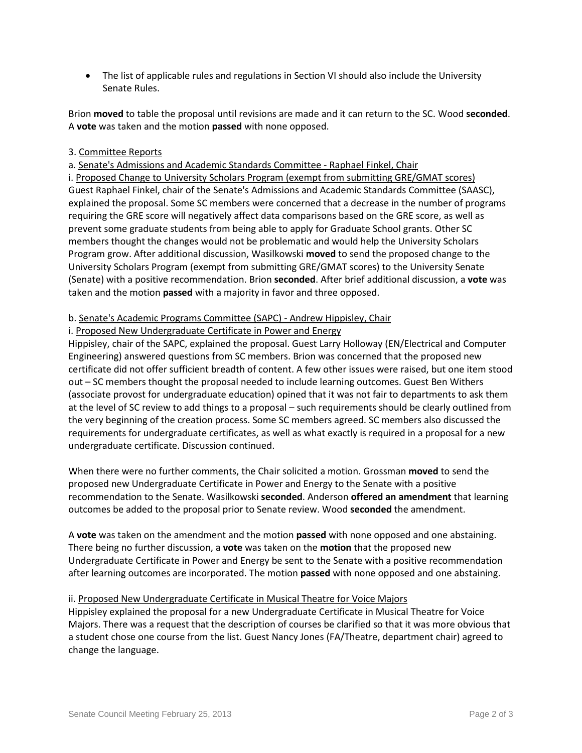• The list of applicable rules and regulations in Section VI should also include the University Senate Rules.

Brion **moved** to table the proposal until revisions are made and it can return to the SC. Wood **seconded**. A **vote** was taken and the motion **passed** with none opposed.

# 3. Committee Reports

a. Senate's Admissions and Academic Standards Committee - Raphael Finkel, Chair

i. Proposed Change to University Scholars Program (exempt from submitting GRE/GMAT scores) Guest Raphael Finkel, chair of the Senate's Admissions and Academic Standards Committee (SAASC), explained the proposal. Some SC members were concerned that a decrease in the number of programs requiring the GRE score will negatively affect data comparisons based on the GRE score, as well as prevent some graduate students from being able to apply for Graduate School grants. Other SC members thought the changes would not be problematic and would help the University Scholars Program grow. After additional discussion, Wasilkowski **moved** to send the proposed change to the University Scholars Program (exempt from submitting GRE/GMAT scores) to the University Senate (Senate) with a positive recommendation. Brion **seconded**. After brief additional discussion, a **vote** was taken and the motion **passed** with a majority in favor and three opposed.

# b. Senate's Academic Programs Committee (SAPC) - Andrew Hippisley, Chair

# i. Proposed New Undergraduate Certificate in Power and Energy

Hippisley, chair of the SAPC, explained the proposal. Guest Larry Holloway (EN/Electrical and Computer Engineering) answered questions from SC members. Brion was concerned that the proposed new certificate did not offer sufficient breadth of content. A few other issues were raised, but one item stood out – SC members thought the proposal needed to include learning outcomes. Guest Ben Withers (associate provost for undergraduate education) opined that it was not fair to departments to ask them at the level of SC review to add things to a proposal – such requirements should be clearly outlined from the very beginning of the creation process. Some SC members agreed. SC members also discussed the requirements for undergraduate certificates, as well as what exactly is required in a proposal for a new undergraduate certificate. Discussion continued.

When there were no further comments, the Chair solicited a motion. Grossman **moved** to send the proposed new Undergraduate Certificate in Power and Energy to the Senate with a positive recommendation to the Senate. Wasilkowski **seconded**. Anderson **offered an amendment** that learning outcomes be added to the proposal prior to Senate review. Wood **seconded** the amendment.

A **vote** was taken on the amendment and the motion **passed** with none opposed and one abstaining. There being no further discussion, a **vote** was taken on the **motion** that the proposed new Undergraduate Certificate in Power and Energy be sent to the Senate with a positive recommendation after learning outcomes are incorporated. The motion **passed** with none opposed and one abstaining.

# ii. Proposed New Undergraduate Certificate in Musical Theatre for Voice Majors

Hippisley explained the proposal for a new Undergraduate Certificate in Musical Theatre for Voice Majors. There was a request that the description of courses be clarified so that it was more obvious that a student chose one course from the list. Guest Nancy Jones (FA/Theatre, department chair) agreed to change the language.